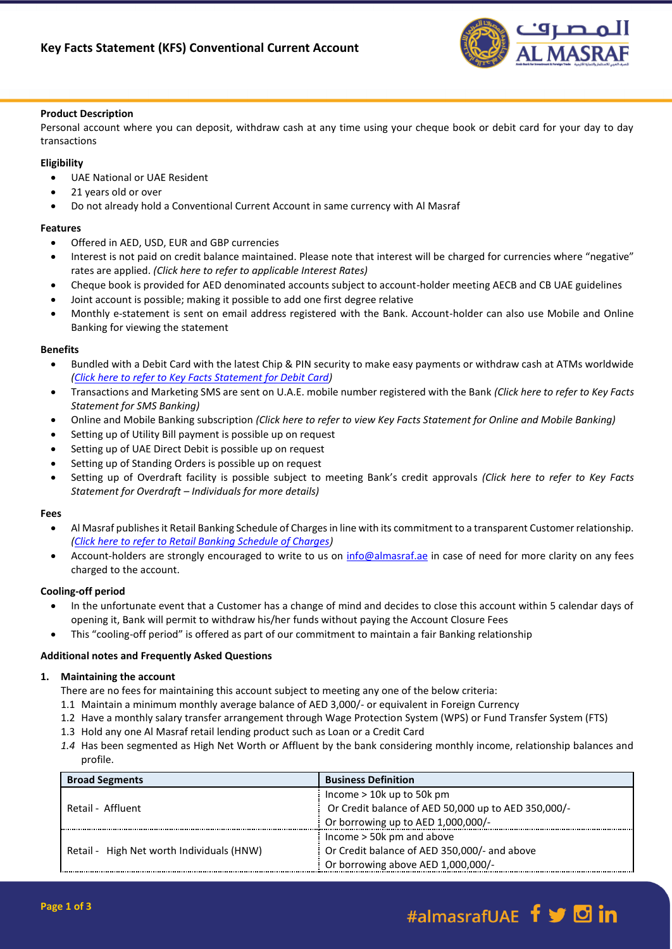

## **Product Description**

Personal account where you can deposit, withdraw cash at any time using your cheque book or debit card for your day to day transactions

# **Eligibility**

- UAE National or UAE Resident
- 21 years old or over
- Do not already hold a Conventional Current Account in same currency with Al Masraf

# **Features**

- Offered in AED, USD, EUR and GBP currencies
- Interest is not paid on credit balance maintained. Please note that interest will be charged for currencies where "negative" rates are applied. *(Click here to refer to applicable Interest Rates)*
- Cheque book is provided for AED denominated accounts subject to account-holder meeting AECB and CB UAE guidelines
- Joint account is possible; making it possible to add one first degree relative
- Monthly e-statement is sent on email address registered with the Bank. Account-holder can also use Mobile and Online Banking for viewing the statement

# **Benefits**

- Bundled with a Debit Card with the latest Chip & PIN security to make easy payments or withdraw cash at ATMs worldwide *[\(Click here to refer to Key Facts Statement for Debit Card\)](https://almasraf.ae/pdf/Debit-Cards-.pdf)*
- Transactions and Marketing SMS are sent on U.A.E. mobile number registered with the Bank *(Click here to refer to Key Facts Statement for SMS Banking)*
- Online and Mobile Banking subscription *(Click here to refer to view Key Facts Statement for Online and Mobile Banking)*
- Setting up of Utility Bill payment is possible up on request
- Setting up of UAE Direct Debit is possible up on request
- Setting up of Standing Orders is possible up on request
- Setting up of Overdraft facility is possible subject to meeting Bank's credit approvals *(Click here to refer to Key Facts Statement for Overdraft – Individuals for more details)*

# **Fees**

- Al Masraf publishes it Retail Banking Schedule of Charges in line with its commitment to a transparent Customer relationship. *[\(Click here to refer to Retail Banking Schedule of Charges\)](https://almasraf.ae/pdf/Schedule_of_Charges_Personal_Banking.pdf)*
- Account-holders are strongly encouraged to write to us on [info@almasraf.ae](mailto:info@almasraf.ae) in case of need for more clarity on any fees charged to the account.

# **Cooling-off period**

- In the unfortunate event that a Customer has a change of mind and decides to close this account within 5 calendar days of opening it, Bank will permit to withdraw his/her funds without paying the Account Closure Fees
- This "cooling-off period" is offered as part of our commitment to maintain a fair Banking relationship

# **Additional notes and Frequently Asked Questions**

# **1. Maintaining the account**

There are no fees for maintaining this account subject to meeting any one of the below criteria:

- 1.1 Maintain a minimum monthly average balance of AED 3,000/- or equivalent in Foreign Currency
- 1.2 Have a monthly salary transfer arrangement through Wage Protection System (WPS) or Fund Transfer System (FTS)
- 1.3 Hold any one Al Masraf retail lending product such as Loan or a Credit Card
- *1.4* Has been segmented as High Net Worth or Affluent by the bank considering monthly income, relationship balances and profile.

| <b>Broad Segments</b>                     | <b>Business Definition</b>                          |
|-------------------------------------------|-----------------------------------------------------|
| Retail - Affluent                         | Income $> 10k$ up to 50k pm                         |
|                                           | Or Credit balance of AED 50,000 up to AED 350,000/- |
|                                           | Or borrowing up to AED $1,000,000$ /-               |
| Retail - High Net worth Individuals (HNW) | Income $>$ 50 $k$ pm and above                      |
|                                           | Or Credit balance of AED 350,000/- and above        |
|                                           | Or borrowing above AED 1,000,000/-                  |

# #almasrafUAE f y **D** in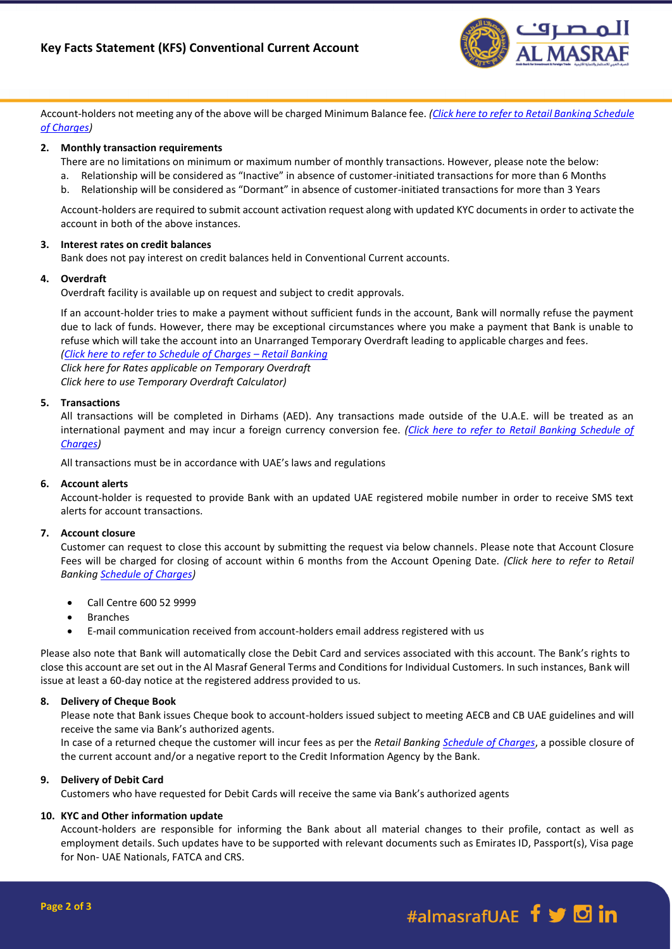

Account-holders not meeting any of the above will be charged Minimum Balance fee. *[\(Click here to refer to Retail Banking Schedule](https://almasraf.ae/pdf/Schedule_of_Charges_Personal_Banking.pdf)  [of Charges\)](https://almasraf.ae/pdf/Schedule_of_Charges_Personal_Banking.pdf)*

## **2. Monthly transaction requirements**

There are no limitations on minimum or maximum number of monthly transactions. However, please note the below:

- a. Relationship will be considered as "Inactive" in absence of customer-initiated transactions for more than 6 Months
- b. Relationship will be considered as "Dormant" in absence of customer-initiated transactions for more than 3 Years

Account-holders are required to submit account activation request along with updated KYC documents in order to activate the account in both of the above instances.

## **3. Interest rates on credit balances**

Bank does not pay interest on credit balances held in Conventional Current accounts.

### **4. Overdraft**

Overdraft facility is available up on request and subject to credit approvals.

If an account-holder tries to make a payment without sufficient funds in the account, Bank will normally refuse the payment due to lack of funds. However, there may be exceptional circumstances where you make a payment that Bank is unable to refuse which will take the account into an Unarranged Temporary Overdraft leading to applicable charges and fees*.*

*[\(Click here to refer to Schedule of Charges](https://almasraf.ae/pdf/Schedule_of_Charges_Personal_Banking.pdf) – Retail Banking Click here for Rates applicable on Temporary Overdraft Click here to use Temporary Overdraft Calculator)*

## **5. Transactions**

All transactions will be completed in Dirhams (AED). Any transactions made outside of the U.A.E. will be treated as an international payment and may incur a foreign currency conversion fee. *[\(Click here to refer to Retail Banking Schedule of](https://almasraf.ae/pdf/Schedule_of_Charges_Personal_Banking.pdf)  [Charges\)](https://almasraf.ae/pdf/Schedule_of_Charges_Personal_Banking.pdf)*

All transactions must be in accordance with UAE's laws and regulations

### **6. Account alerts**

Account-holder is requested to provide Bank with an updated UAE registered mobile number in order to receive SMS text alerts for account transactions.

### **7. Account closure**

Customer can request to close this account by submitting the request via below channels. Please note that Account Closure Fees will be charged for closing of account within 6 months from the Account Opening Date. *(Click here to refer to Retail Banking [Schedule of Charges\)](https://almasraf.ae/pdf/Schedule_of_Charges_Personal_Banking.pdf)*

- Call Centre 600 52 9999
- Branches
- E-mail communication received from account-holders email address registered with us

Please also note that Bank will automatically close the Debit Card and services associated with this account. The Bank's rights to close this account are set out in the Al Masraf General Terms and Conditions for Individual Customers. In such instances, Bank will issue at least a 60-day notice at the registered address provided to us.

### **8. Delivery of Cheque Book**

Please note that Bank issues Cheque book to account-holders issued subject to meeting AECB and CB UAE guidelines and will receive the same via Bank's authorized agents.

In case of a returned cheque the customer will incur fees as per the *Retail Banking [Schedule of Charges](https://almasraf.ae/pdf/Schedule_of_Charges_Personal_Banking.pdf)*, a possible closure of the current account and/or a negative report to the Credit Information Agency by the Bank.

### **9. Delivery of Debit Card**

Customers who have requested for Debit Cards will receive the same via Bank's authorized agents

### **10. KYC and Other information update**

Account-holders are responsible for informing the Bank about all material changes to their profile, contact as well as employment details. Such updates have to be supported with relevant documents such as Emirates ID, Passport(s), Visa page for Non- UAE Nationals, FATCA and CRS.